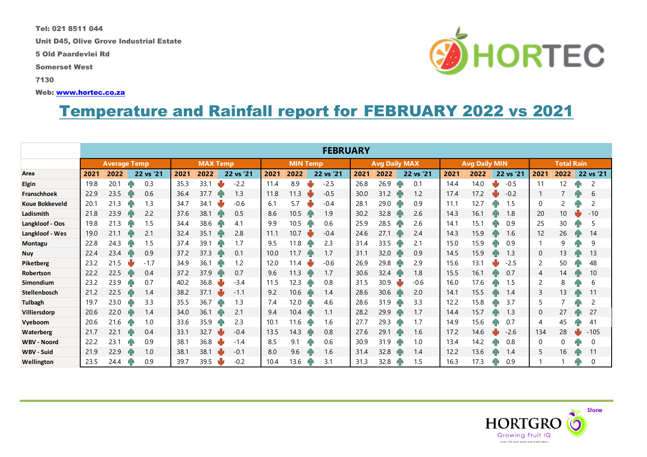Tel: 021 8511 044

Unit D45, Olive Grove Industrial Estate

5 Old Paardevlei Rd

Somerset West

7130

Web: [www.hortec.co.za](http://www.hortec.co.za/)

## Temperature and Rainfall report for FEBRUARY 2022 vs 2021

|                       | <b>FEBRUARY</b>     |      |    |                 |      |      |                 |           |      |                      |    |           |                      |      |    |                   |      |      |  |           |                |      |  |                |
|-----------------------|---------------------|------|----|-----------------|------|------|-----------------|-----------|------|----------------------|----|-----------|----------------------|------|----|-------------------|------|------|--|-----------|----------------|------|--|----------------|
|                       | <b>Average Temp</b> |      |    | <b>MAX Temp</b> |      |      | <b>MIN Temp</b> |           |      | <b>Avg Daily MAX</b> |    |           | <b>Avg Daily MIN</b> |      |    | <b>Total Rain</b> |      |      |  |           |                |      |  |                |
| Area                  | 2021                | 2022 |    | 22 vs '21       | 2021 | 2022 |                 | 22 vs '21 | 2021 | 2022                 |    | 22 vs '21 | 2021                 | 2022 |    | 22 vs '21         | 2021 | 2022 |  | 22 vs '21 | 2021           | 2022 |  | 22 vs '21      |
| <b>Elgin</b>          | 19.8                | 20.1 |    | 0.3             | 35.3 | 33.1 | ψ               | $-2.2$    | 11.4 | 8.9                  |    | $-2.5$    | 26.8                 | 26.9 |    | 0.1               | 14.4 | 14.0 |  | $-0.5$    | 11             | 12   |  | 2              |
| Franschhoek           | 22.9                | 23.5 |    | 0.6             | 36.4 | 37.7 |                 | 1.3       | 11.8 | 11.3                 |    | $-0.5$    | 30.0                 | 31.2 |    | 1.2               | 17.4 | 17.2 |  | $-0.2$    |                |      |  | 6              |
| <b>Koue Bokkeveld</b> | 20.1                | 21.3 |    | 1.3             | 34.7 | 34.1 |                 | $-0.6$    | 6.1  | 5.7                  |    | $-0.4$    | 28.1                 | 29.0 |    | 0.9               | 11.1 | 12.7 |  | 1.5       | 0              | 2    |  | $\overline{2}$ |
| Ladismith             | 21.8                | 23.9 |    | 2.2             | 37.6 | 38.1 | Иг              | 0.5       | 8.6  | 10.5                 | ИR | 1.9       | 30.2                 | 32.8 |    | 2.6               | 14.3 | 16.1 |  | 1.8       | 20             | 10   |  | $-10$          |
| Langkloof - Oos       | 19.8                | 21.3 |    | 1.5             | 34.4 | 38.6 |                 | 4.1       | 9.9  | 10.5                 |    | 0.6       | 25.9                 | 28.5 |    | 2.6               | 14.1 | 15.1 |  | 0.9       | 25             | 30   |  | 5              |
| Langkloof - Wes       | 19.0                | 21.1 |    | 2.1             | 32.4 | 35.1 |                 | 2.8       | 11.1 | 10.7                 |    | $-0.4$    | 24.6                 | 27.1 | ЙF | 2.4               | 14.3 | 15.9 |  | 1.6       | 12             | 26   |  | 14             |
| Montagu               | 22.8                | 24.3 |    | 1.5             | 37.4 | 39.1 | ИΝ              | 1.7       | 9.5  | 11.8                 |    | 2.3       | 31.4                 | 33.5 |    | 2.1               | 15.0 | 15.9 |  | 0.9       |                | 9    |  | 9              |
| <b>Nuy</b>            | 22.4                | 23.4 |    | 0.9             | 37.2 | 37.3 |                 | 0.1       | 10.0 | 11.7                 |    | 1.7       | 31.1                 | 32.0 |    | 0.9               | 14.5 | 15.9 |  | 1.3       | 0              | 13   |  | 13             |
| Piketberg             | 23.2                | 21.5 |    | $-1.7$          | 34.9 | 36.1 | Й۴              | 1.2       | 12.0 | 11.4                 |    | $-0.6$    | 26.9                 | 29.8 |    | 2.9               | 15.6 | 13.1 |  | $-2.5$    | 2              | 50   |  | 48             |
| Robertson             | 22.2                | 22.5 |    | 0.4             | 37.2 | 37.9 |                 | 0.7       | 9.6  | 11.3                 | ИR | 1.7       | 30.6                 | 32.4 | ЙΓ | 1.8               | 15.5 | 16.1 |  | 0.7       | $\overline{4}$ | 14   |  | 10             |
| Simondium             | 23.2                | 23.9 |    | 0.7             | 40.2 | 36.8 |                 | $-3.4$    | 11.5 | 12.3                 |    | 0.8       | 31.5                 | 30.9 |    | $-0.6$            | 16.0 | 17.6 |  | 1.5       | $\overline{c}$ | 8    |  | 6              |
| <b>Stellenbosch</b>   | 21.2                | 22.5 |    | 1.4             | 38.2 | 37.1 | N۶              | $-1.1$    | 9.2  | 10.6                 | ЙÑ | 1.4       | 28.6                 | 30.6 |    | 2.0               | 14.1 | 15.5 |  | 1.4       | 3              | 13   |  | 11             |
| <b>Tulbagh</b>        | 19.7                | 23.0 |    | 3.3             | 35.5 | 36.7 | ИΝ              | 1.3       | 7.4  | 12.0                 |    | 4.6       | 28.6                 | 31.9 |    | 3.3               | 12.2 | 15.8 |  | 3.7       | 5              |      |  | 2              |
| Villiersdorp          | 20.6                | 22.0 |    | 1.4             | 34.0 | 36.1 |                 | 2.1       | 9.4  | 10.4                 |    | 1.1       | 28.2                 | 29.9 |    | 1.7               | 14.4 | 15.7 |  | 1.3       | $\mathbf{0}$   | 27   |  | 27             |
| Vyeboom               | 20.6                | 21.6 |    | 1.0             | 33.6 | 35.9 |                 | 2.3       | 10.1 | 11.6                 |    | 1.6       | 27.7                 | 29.3 |    | 1.7               | 14.9 | 15.6 |  | 0.7       | 4              | 45   |  | 41             |
| <b>Waterberg</b>      | 21.7                | 22.1 |    | 0.4             | 33.1 | 32.7 |                 | $-0.4$    | 13.5 | 14.3                 |    | 0.8       | 27.6                 | 29.1 |    | 1.6               | 17.2 | 14.6 |  | $-2.6$    | 134            | 28   |  | $-105$         |
| <b>WBV - Noord</b>    | 22.2                | 23.1 | hв | 0.9             | 38.1 | 36.8 |                 | $-1.4$    | 8.5  | 9.1                  |    | 0.6       | 30.9                 | 31.9 |    | 1.0               | 13.4 | 14.2 |  | 0.8       | 0              | 0    |  | 0              |
| <b>WBV - Suid</b>     | 21.9                | 22.9 |    | 1.0             | 38.1 | 38.1 |                 | $-0.1$    | 8.0  | 9.6                  |    | 1.6       | 31.4                 | 32.8 |    | 1.4               | 12.2 | 13.6 |  | 1.4       | 5              | 16   |  | 11             |
| Wellington            | 23.5                | 24.4 |    | 0.9             | 39.7 | 39.5 |                 | $-0.2$    | 10.4 | 13.6                 |    | 3.1       | 31.3                 | 32.8 |    | 1.5               | 16.3 | 17.3 |  | 0.9       |                |      |  | 0              |



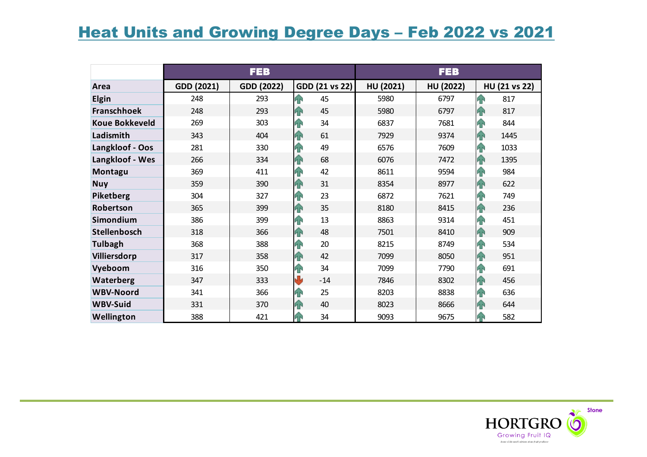## **Heat Units and Growing Degree Days - Feb 2022 vs 2021**

|                       |            | <b>FEB</b> |                 | <b>FEB</b> |           |                     |  |  |  |
|-----------------------|------------|------------|-----------------|------------|-----------|---------------------|--|--|--|
| Area                  | GDD (2021) | GDD (2022) | GDD (21 vs 22)  | HU (2021)  | HU (2022) | HU (21 vs 22)       |  |  |  |
| Elgin                 | 248        | 293        | <b>FR</b><br>45 | 5980       | 6797      | $\hat{P}$<br>817    |  |  |  |
| <b>Franschhoek</b>    | 248        | 293        | 45<br>4P        | 5980       | 6797      | 817<br>4            |  |  |  |
| <b>Koue Bokkeveld</b> | 269        | 303        | 34<br>ЙÑ        | 6837       | 7681      | 42<br>844           |  |  |  |
| Ladismith             | 343        | 404        | 61<br><b>AN</b> | 7929       | 9374      | $\bigcap$<br>1445   |  |  |  |
| Langkloof - Oos       | 281        | 330        | 49<br>48        | 6576       | 7609      | T<br>1033           |  |  |  |
| Langkloof - Wes       | 266        | 334        | 68<br><b>AN</b> | 6076       | 7472      | $\bigcap$<br>1395   |  |  |  |
| Montagu               | 369        | 411        | 42<br><b>FR</b> | 8611       | 9594      | 1<br>984            |  |  |  |
| <b>Nuy</b>            | 359        | 390        | 31<br>42        | 8354       | 8977      | 4<br>622            |  |  |  |
| Piketberg             | 304        | 327        | 23<br><b>FR</b> | 6872       | 7621      | T<br>749            |  |  |  |
| Robertson             | 365        | 399        | 35<br><b>AN</b> | 8180       | 8415      | F<br>236            |  |  |  |
| Simondium             | 386        | 399        | 13<br>H         | 8863       | 9314      | 1<br>451            |  |  |  |
| Stellenbosch          | 318        | 366        | 48<br><b>AN</b> | 7501       | 8410      | 4<br>909            |  |  |  |
| <b>Tulbagh</b>        | 368        | 388        | 20<br><b>AN</b> | 8215       | 8749      | $\mathbf{P}$<br>534 |  |  |  |
| Villiersdorp          | 317        | 358        | 42<br><b>AN</b> | 7099       | 8050      | 1<br>951            |  |  |  |
| Vyeboom               | 316        | 350        | 34<br>ЯÑ        | 7099       | 7790      | 1<br>691            |  |  |  |
| Waterberg             | 347        | 333        | N<br>$-14$      | 7846       | 8302      | 4<br>456            |  |  |  |
| <b>WBV-Noord</b>      | 341        | 366        | 25<br>ЯÑ        | 8203       | 8838      | 42<br>636           |  |  |  |
| <b>WBV-Suid</b>       | 331        | 370        | 40<br><b>AN</b> | 8023       | 8666      | <b>FR</b><br>644    |  |  |  |
| Wellington            | 388        | 421        | 34              | 9093       | 9675      | 582<br><b>FR</b>    |  |  |  |